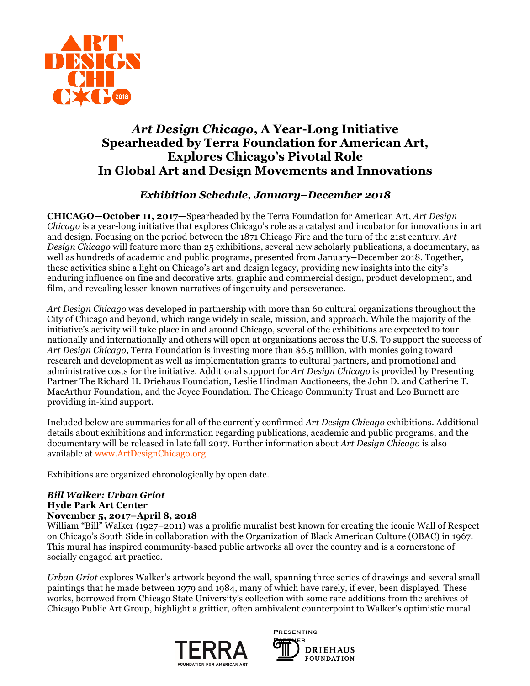

# *Art Design Chicago***, A Year-Long Initiative Spearheaded by Terra Foundation for American Art, Explores Chicago's Pivotal Role In Global Art and Design Movements and Innovations**

# *Exhibition Schedule, January–December 2018*

**CHICAGO—October 11, 2017—**Spearheaded by the Terra Foundation for American Art, *Art Design Chicago* is a year-long initiative that explores Chicago's role as a catalyst and incubator for innovations in art and design. Focusing on the period between the 1871 Chicago Fire and the turn of the 21st century, *Art Design Chicago* will feature more than 25 exhibitions, several new scholarly publications, a documentary, as well as hundreds of academic and public programs, presented from January**–**December 2018. Together, these activities shine a light on Chicago's art and design legacy, providing new insights into the city's enduring influence on fine and decorative arts, graphic and commercial design, product development, and film, and revealing lesser-known narratives of ingenuity and perseverance.

*Art Design Chicago* was developed in partnership with more than 60 cultural organizations throughout the City of Chicago and beyond, which range widely in scale, mission, and approach. While the majority of the initiative's activity will take place in and around Chicago, several of the exhibitions are expected to tour nationally and internationally and others will open at organizations across the U.S. To support the success of *Art Design Chicago*, Terra Foundation is investing more than \$6.5 million, with monies going toward research and development as well as implementation grants to cultural partners, and promotional and administrative costs for the initiative. Additional support for *Art Design Chicago* is provided by Presenting Partner The Richard H. Driehaus Foundation, Leslie Hindman Auctioneers, the John D. and Catherine T. MacArthur Foundation, and the Joyce Foundation. The Chicago Community Trust and Leo Burnett are providing in-kind support.

Included below are summaries for all of the currently confirmed *Art Design Chicago* exhibitions. Additional details about exhibitions and information regarding publications, academic and public programs, and the documentary will be released in late fall 2017. Further information about *Art Design Chicago* is also available at www.ArtDesignChicago.org.

Exhibitions are organized chronologically by open date.

# *Bill Walker: Urban Griot* **Hyde Park Art Center November 5, 2017–April 8, 2018**

William "Bill" Walker (1927–2011) was a prolific muralist best known for creating the iconic Wall of Respect on Chicago's South Side in collaboration with the Organization of Black American Culture (OBAC) in 1967. This mural has inspired community-based public artworks all over the country and is a cornerstone of socially engaged art practice.

*Urban Griot* explores Walker's artwork beyond the wall, spanning three series of drawings and several small paintings that he made between 1979 and 1984, many of which have rarely, if ever, been displayed. These works, borrowed from Chicago State University's collection with some rare additions from the archives of Chicago Public Art Group, highlight a grittier, often ambivalent counterpoint to Walker's optimistic mural



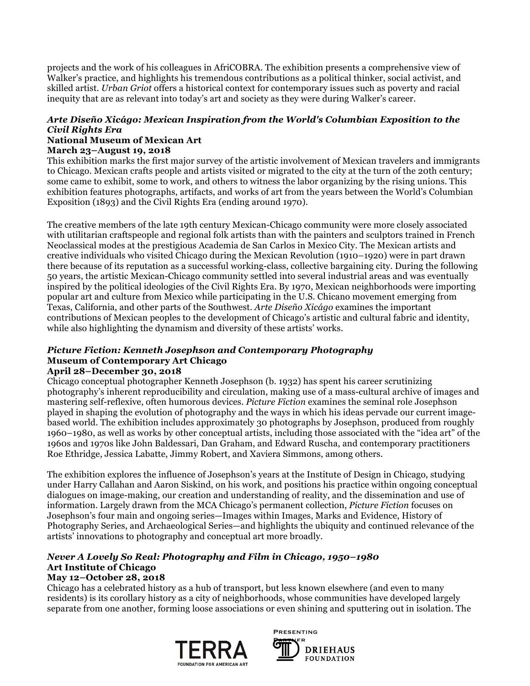projects and the work of his colleagues in AfriCOBRA. The exhibition presents a comprehensive view of Walker's practice, and highlights his tremendous contributions as a political thinker, social activist, and skilled artist. *Urban Griot* offers a historical context for contemporary issues such as poverty and racial inequity that are as relevant into today's art and society as they were during Walker's career.

# *Arte Diseño Xicágo: Mexican Inspiration from the World's Columbian Exposition to the Civil Rights Era*

#### **National Museum of Mexican Art March 23–August 19, 2018**

This exhibition marks the first major survey of the artistic involvement of Mexican travelers and immigrants to Chicago. Mexican crafts people and artists visited or migrated to the city at the turn of the 20th century; some came to exhibit, some to work, and others to witness the labor organizing by the rising unions. This exhibition features photographs, artifacts, and works of art from the years between the World's Columbian Exposition (1893) and the Civil Rights Era (ending around 1970).

The creative members of the late 19th century Mexican-Chicago community were more closely associated with utilitarian craftspeople and regional folk artists than with the painters and sculptors trained in French Neoclassical modes at the prestigious Academia de San Carlos in Mexico City. The Mexican artists and creative individuals who visited Chicago during the Mexican Revolution (1910–1920) were in part drawn there because of its reputation as a successful working-class, collective bargaining city. During the following 50 years, the artistic Mexican-Chicago community settled into several industrial areas and was eventually inspired by the political ideologies of the Civil Rights Era. By 1970, Mexican neighborhoods were importing popular art and culture from Mexico while participating in the U.S. Chicano movement emerging from Texas, California, and other parts of the Southwest. *Arte Diseño Xicágo* examines the important contributions of Mexican peoples to the development of Chicago's artistic and cultural fabric and identity, while also highlighting the dynamism and diversity of these artists' works.

### *Picture Fiction: Kenneth Josephson and Contemporary Photography* **Museum of Contemporary Art Chicago April 28–December 30, 2018**

Chicago conceptual photographer Kenneth Josephson (b. 1932) has spent his career scrutinizing photography's inherent reproducibility and circulation, making use of a mass-cultural archive of images and mastering self-reflexive, often humorous devices. *Picture Fiction* examines the seminal role Josephson played in shaping the evolution of photography and the ways in which his ideas pervade our current imagebased world. The exhibition includes approximately 30 photographs by Josephson, produced from roughly 1960–1980, as well as works by other conceptual artists, including those associated with the "idea art" of the

1960s and 1970s like John Baldessari, Dan Graham, and Edward Ruscha, and contemporary practitioners Roe Ethridge, Jessica Labatte, Jimmy Robert, and Xaviera Simmons, among others. The exhibition explores the influence of Josephson's years at the Institute of Design in Chicago, studying under Harry Callahan and Aaron Siskind, on his work, and positions his practice within ongoing conceptual dialogues on image-making, our creation and understanding of reality, and the dissemination and use of information. Largely drawn from the MCA Chicago's permanent collection, *Picture Fiction* focuses on Josephson's four main and ongoing series—Images within Images, Marks and Evidence, History of

Photography Series, and Archaeological Series—and highlights the ubiquity and continued relevance of the

### *Never A Lovely So Real: Photography and Film in Chicago, 1950–1980*  **Art Institute of Chicago May 12–October 28, 2018**

artists' innovations to photography and conceptual art more broadly.

Chicago has a celebrated history as a hub of transport, but less known elsewhere (and even to many residents) is its corollary history as a city of neighborhoods, whose communities have developed largely separate from one another, forming loose associations or even shining and sputtering out in isolation. The



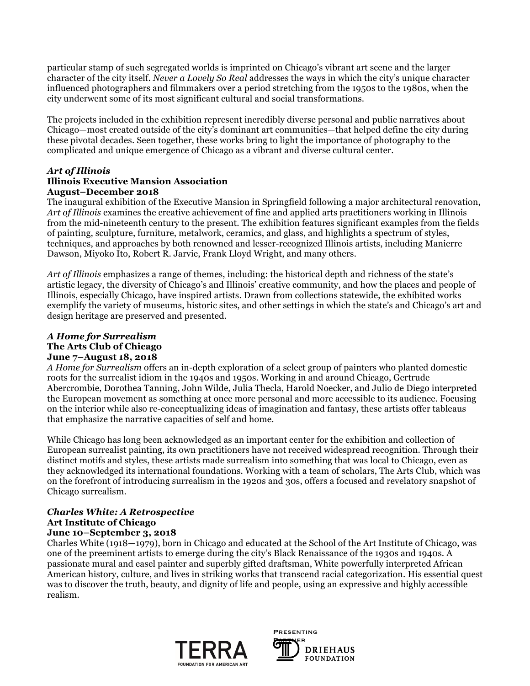particular stamp of such segregated worlds is imprinted on Chicago's vibrant art scene and the larger character of the city itself. *Never a Lovely So Real* addresses the ways in which the city's unique character influenced photographers and filmmakers over a period stretching from the 1950s to the 1980s, when the city underwent some of its most significant cultural and social transformations.

The projects included in the exhibition represent incredibly diverse personal and public narratives about Chicago—most created outside of the city's dominant art communities—that helped define the city during these pivotal decades. Seen together, these works bring to light the importance of photography to the complicated and unique emergence of Chicago as a vibrant and diverse cultural center.

### *Art of Illinois* **Illinois Executive Mansion Association August–December 2018**

The inaugural exhibition of the Executive Mansion in Springfield following a major architectural renovation, *Art of Illinois* examines the creative achievement of fine and applied arts practitioners working in Illinois from the mid-nineteenth century to the present. The exhibition features significant examples from the fields of painting, sculpture, furniture, metalwork, ceramics, and glass, and highlights a spectrum of styles, techniques, and approaches by both renowned and lesser-recognized Illinois artists, including Manierre Dawson, Miyoko Ito, Robert R. Jarvie, Frank Lloyd Wright, and many others.

*Art of Illinois* emphasizes a range of themes, including: the historical depth and richness of the state's artistic legacy, the diversity of Chicago's and Illinois' creative community, and how the places and people of Illinois, especially Chicago, have inspired artists. Drawn from collections statewide, the exhibited works exemplify the variety of museums, historic sites, and other settings in which the state's and Chicago's art and design heritage are preserved and presented.

### *A Home for Surrealism* **The Arts Club of Chicago June 7–August 18, 2018**

*A Home for Surrealism* offers an in-depth exploration of a select group of painters who planted domestic roots for the surrealist idiom in the 1940s and 1950s. Working in and around Chicago, Gertrude Abercrombie, Dorothea Tanning, John Wilde, Julia Thecla, Harold Noecker, and Julio de Diego interpreted the European movement as something at once more personal and more accessible to its audience. Focusing on the interior while also re-conceptualizing ideas of imagination and fantasy, these artists offer tableaus that emphasize the narrative capacities of self and home.

While Chicago has long been acknowledged as an important center for the exhibition and collection of European surrealist painting, its own practitioners have not received widespread recognition. Through their distinct motifs and styles, these artists made surrealism into something that was local to Chicago, even as they acknowledged its international foundations. Working with a team of scholars, The Arts Club, which was on the forefront of introducing surrealism in the 1920s and 30s, offers a focused and revelatory snapshot of Chicago surrealism.

### *Charles White: A Retrospective* **Art Institute of Chicago June 10–September 3, 2018**

Charles White (1918—1979), born in Chicago and educated at the School of the Art Institute of Chicago, was one of the preeminent artists to emerge during the city's Black Renaissance of the 1930s and 1940s. A passionate mural and easel painter and superbly gifted draftsman, White powerfully interpreted African American history, culture, and lives in striking works that transcend racial categorization. His essential quest was to discover the truth, beauty, and dignity of life and people, using an expressive and highly accessible realism.



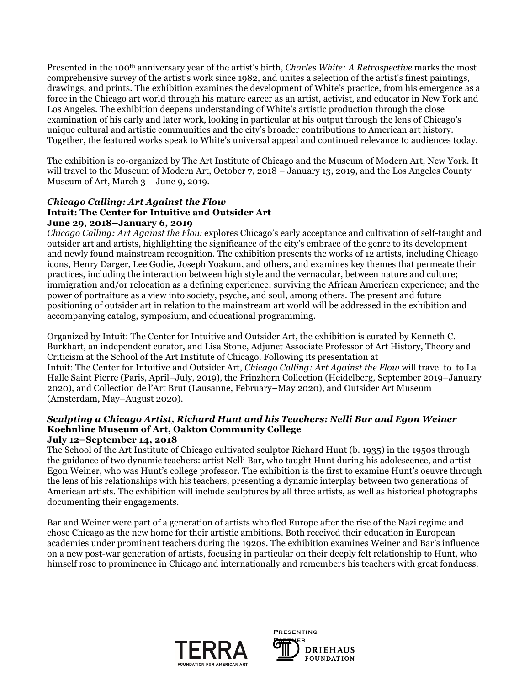Presented in the 100th anniversary year of the artist's birth, *Charles White: A Retrospective* marks the most comprehensive survey of the artist's work since 1982, and unites a selection of the artist's finest paintings, drawings, and prints. The exhibition examines the development of White's practice, from his emergence as a force in the Chicago art world through his mature career as an artist, activist, and educator in New York and Los Angeles. The exhibition deepens understanding of White's artistic production through the close examination of his early and later work, looking in particular at his output through the lens of Chicago's unique cultural and artistic communities and the city's broader contributions to American art history. Together, the featured works speak to White's universal appeal and continued relevance to audiences today.

The exhibition is co-organized by The Art Institute of Chicago and the Museum of Modern Art, New York. It will travel to the Museum of Modern Art, October 7, 2018 – January 13, 2019, and the Los Angeles County Museum of Art, March 3 – June 9, 2019.

### *Chicago Calling: Art Against the Flow* **Intuit: The Center for Intuitive and Outsider Art June 29, 2018–January 6, 2019**

*Chicago Calling: Art Against the Flow* explores Chicago's early acceptance and cultivation of self-taught and outsider art and artists, highlighting the significance of the city's embrace of the genre to its development and newly found mainstream recognition. The exhibition presents the works of 12 artists, including Chicago icons, Henry Darger, Lee Godie, Joseph Yoakum, and others, and examines key themes that permeate their practices, including the interaction between high style and the vernacular, between nature and culture; immigration and/or relocation as a defining experience; surviving the African American experience; and the power of portraiture as a view into society, psyche, and soul, among others. The present and future positioning of outsider art in relation to the mainstream art world will be addressed in the exhibition and accompanying catalog, symposium, and educational programming.

Organized by Intuit: The Center for Intuitive and Outsider Art, the exhibition is curated by Kenneth C. Burkhart, an independent curator, and Lisa Stone, Adjunct Associate Professor of Art History, Theory and Criticism at the School of the Art Institute of Chicago. Following its presentation at Intuit: The Center for Intuitive and Outsider Art, *Chicago Calling: Art Against the Flow* will travel to to La Halle Saint Pierre (Paris, April–July, 2019), the Prinzhorn Collection (Heidelberg, September 2019–January 2020), and Collection de l'Art Brut (Lausanne, February–May 2020), and Outsider Art Museum (Amsterdam, May–August 2020).

### *Sculpting a Chicago Artist, Richard Hunt and his Teachers: Nelli Bar and Egon Weiner* **Koehnline Museum of Art, Oakton Community College July 12–September 14, 2018**

The School of the Art Institute of Chicago cultivated sculptor Richard Hunt (b. 1935) in the 1950s through the guidance of two dynamic teachers: artist Nelli Bar, who taught Hunt during his adolescence, and artist Egon Weiner, who was Hunt's college professor. The exhibition is the first to examine Hunt's oeuvre through the lens of his relationships with his teachers, presenting a dynamic interplay between two generations of American artists. The exhibition will include sculptures by all three artists, as well as historical photographs documenting their engagements.

Bar and Weiner were part of a generation of artists who fled Europe after the rise of the Nazi regime and chose Chicago as the new home for their artistic ambitions. Both received their education in European academies under prominent teachers during the 1920s. The exhibition examines Weiner and Bar's influence on a new post-war generation of artists, focusing in particular on their deeply felt relationship to Hunt, who himself rose to prominence in Chicago and internationally and remembers his teachers with great fondness.



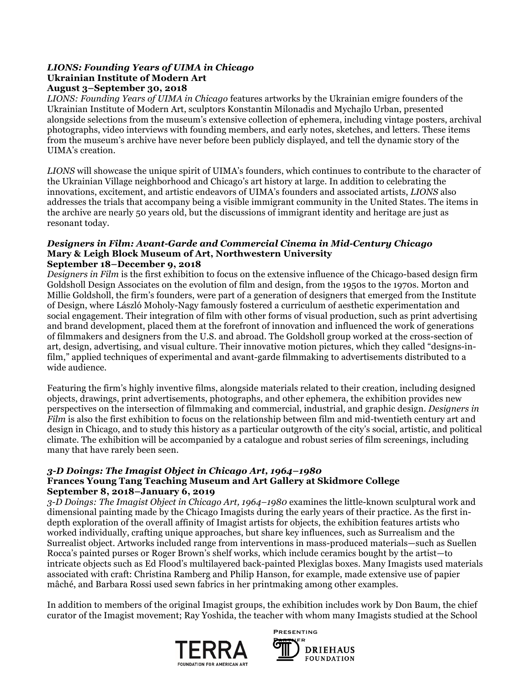### *LIONS: Founding Years of UIMA in Chicago* **Ukrainian Institute of Modern Art August 3–September 30, 2018**

*LIONS: Founding Years of UIMA in Chicago* features artworks by the Ukrainian emigre founders of the Ukrainian Institute of Modern Art, sculptors Konstantin Milonadis and Mychajlo Urban, presented alongside selections from the museum's extensive collection of ephemera, including vintage posters, archival photographs, video interviews with founding members, and early notes, sketches, and letters. These items from the museum's archive have never before been publicly displayed, and tell the dynamic story of the UIMA's creation.

*LIONS* will showcase the unique spirit of UIMA's founders, which continues to contribute to the character of the Ukrainian Village neighborhood and Chicago's art history at large. In addition to celebrating the innovations, excitement, and artistic endeavors of UIMA's founders and associated artists, *LIONS* also addresses the trials that accompany being a visible immigrant community in the United States. The items in the archive are nearly 50 years old, but the discussions of immigrant identity and heritage are just as resonant today.

### *Designers in Film: Avant-Garde and Commercial Cinema in Mid-Century Chicago* **Mary & Leigh Block Museum of Art, Northwestern University September 18–December 9, 2018**

*Designers in Film* is the first exhibition to focus on the extensive influence of the Chicago-based design firm Goldsholl Design Associates on the evolution of film and design, from the 1950s to the 1970s. Morton and Millie Goldsholl, the firm's founders, were part of a generation of designers that emerged from the Institute of Design, where László Moholy-Nagy famously fostered a curriculum of aesthetic experimentation and social engagement. Their integration of film with other forms of visual production, such as print advertising and brand development, placed them at the forefront of innovation and influenced the work of generations of filmmakers and designers from the U.S. and abroad. The Goldsholl group worked at the cross-section of art, design, advertising, and visual culture. Their innovative motion pictures, which they called "designs-infilm," applied techniques of experimental and avant-garde filmmaking to advertisements distributed to a wide audience.

Featuring the firm's highly inventive films, alongside materials related to their creation, including designed objects, drawings, print advertisements, photographs, and other ephemera, the exhibition provides new perspectives on the intersection of filmmaking and commercial, industrial, and graphic design. *Designers in Film* is also the first exhibition to focus on the relationship between film and mid-twentieth century art and design in Chicago, and to study this history as a particular outgrowth of the city's social, artistic, and political climate. The exhibition will be accompanied by a catalogue and robust series of film screenings, including many that have rarely been seen.

### *3-D Doings: The Imagist Object in Chicago Art, 1964–1980* **Frances Young Tang Teaching Museum and Art Gallery at Skidmore College September 8, 2018–January 6, 2019**

*3-D Doings: The Imagist Object in Chicago Art, 1964–1980* examines the little-known sculptural work and dimensional painting made by the Chicago Imagists during the early years of their practice. As the first indepth exploration of the overall affinity of Imagist artists for objects, the exhibition features artists who worked individually, crafting unique approaches, but share key influences, such as Surrealism and the Surrealist object. Artworks included range from interventions in mass-produced materials—such as Suellen Rocca's painted purses or Roger Brown's shelf works, which include ceramics bought by the artist—to intricate objects such as Ed Flood's multilayered back-painted Plexiglas boxes. Many Imagists used materials associated with craft: Christina Ramberg and Philip Hanson, for example, made extensive use of papier mâché, and Barbara Rossi used sewn fabrics in her printmaking among other examples.

In addition to members of the original Imagist groups, the exhibition includes work by Don Baum, the chief curator of the Imagist movement; Ray Yoshida, the teacher with whom many Imagists studied at the School



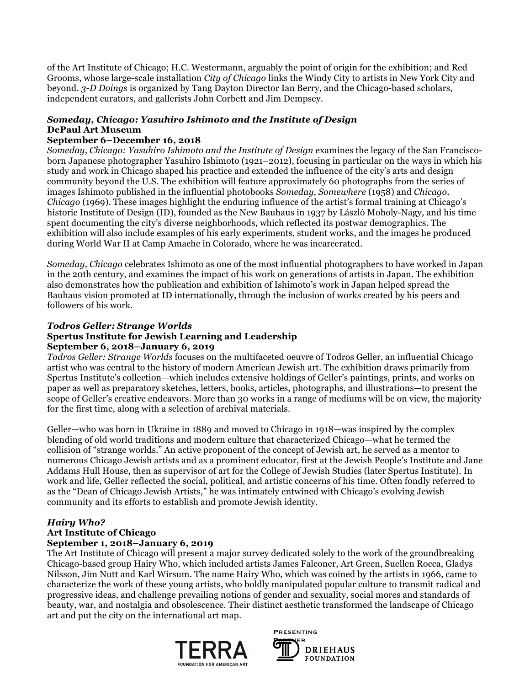of the Art Institute of Chicago; H.C. Westermann, arguably the point of origin for the exhibition; and Red Grooms, whose large-scale installation *City of Chicago* links the Windy City to artists in New York City and beyond. *3-D Doings* is organized by Tang Dayton Director Ian Berry, and the Chicago-based scholars, independent curators, and gallerists John Corbett and Jim Dempsey.

# *Someday, Chicago: Yasuhiro Ishimoto and the Institute of Design* **DePaul Art Museum**

### **September 6–December 16, 2018**

*Someday, Chicago: Yasuhiro Ishimoto and the Institute of Design* examines the legacy of the San Franciscoborn Japanese photographer Yasuhiro Ishimoto (1921–2012), focusing in particular on the ways in which his study and work in Chicago shaped his practice and extended the influence of the city's arts and design community beyond the U.S. The exhibition will feature approximately 60 photographs from the series of images Ishimoto published in the influential photobooks *Someday, Somewhere* (1958) and *Chicago, Chicago* (1969). These images highlight the enduring influence of the artist's formal training at Chicago's historic Institute of Design (ID), founded as the New Bauhaus in 1937 by László Moholy-Nagy, and his time spent documenting the city's diverse neighborhoods, which reflected its postwar demographics. The exhibition will also include examples of his early experiments, student works, and the images he produced during World War II at Camp Amache in Colorado, where he was incarcerated.

*Someday, Chicago* celebrates Ishimoto as one of the most influential photographers to have worked in Japan in the 20th century, and examines the impact of his work on generations of artists in Japan. The exhibition also demonstrates how the publication and exhibition of Ishimoto's work in Japan helped spread the Bauhaus vision promoted at ID internationally, through the inclusion of works created by his peers and followers of his work.

### *Todros Geller: Strange Worlds*

### **Spertus Institute for Jewish Learning and Leadership September 6, 2018–January 6, 2019**

# *Todros Geller: Strange Worlds* focuses on the multifaceted oeuvre of Todros Geller, an influential Chicago

artist who was central to the history of modern American Jewish art. The exhibition draws primarily from Spertus Institute's collection—which includes extensive holdings of Geller's paintings, prints, and works on paper as well as preparatory sketches, letters, books, articles, photographs, and illustrations—to present the scope of Geller's creative endeavors. More than 30 works in a range of mediums will be on view, the majority for the first time, along with a selection of archival materials.

Geller—who was born in Ukraine in 1889 and moved to Chicago in 1918—was inspired by the complex blending of old world traditions and modern culture that characterized Chicago—what he termed the collision of "strange worlds." An active proponent of the concept of Jewish art, he served as a mentor to numerous Chicago Jewish artists and as a prominent educator, first at the Jewish People's Institute and Jane Addams Hull House, then as supervisor of art for the College of Jewish Studies (later Spertus Institute). In work and life, Geller reflected the social, political, and artistic concerns of his time. Often fondly referred to as the "Dean of Chicago Jewish Artists," he was intimately entwined with Chicago's evolving Jewish community and its efforts to establish and promote Jewish identity.

# *Hairy Who?*

# **Art Institute of Chicago**

# **September 1, 2018–January 6, 2019**

The Art Institute of Chicago will present a major survey dedicated solely to the work of the groundbreaking Chicago-based group Hairy Who, which included artists James Falconer, Art Green, Suellen Rocca, Gladys Nilsson, Jim Nutt and Karl Wirsum. The name Hairy Who, which was coined by the artists in 1966, came to characterize the work of these young artists, who boldly manipulated popular culture to transmit radical and progressive ideas, and challenge prevailing notions of gender and sexuality, social mores and standards of beauty, war, and nostalgia and obsolescence. Their distinct aesthetic transformed the landscape of Chicago art and put the city on the international art map.



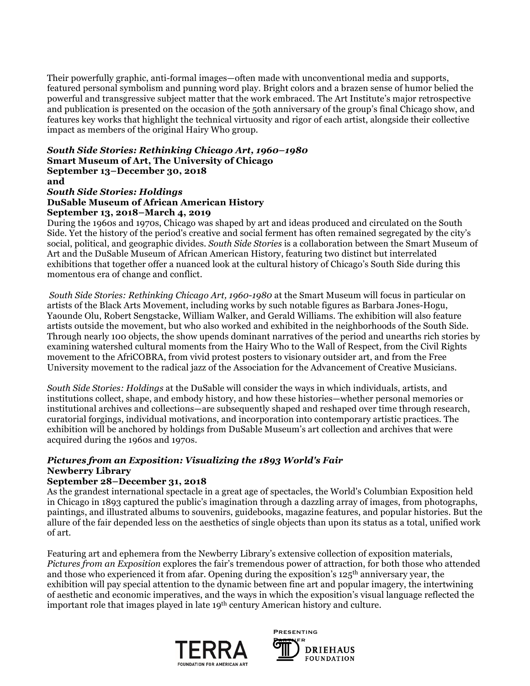Their powerfully graphic, anti-formal images—often made with unconventional media and supports, featured personal symbolism and punning word play. Bright colors and a brazen sense of humor belied the powerful and transgressive subject matter that the work embraced. The Art Institute's major retrospective and publication is presented on the occasion of the 50th anniversary of the group's final Chicago show, and features key works that highlight the technical virtuosity and rigor of each artist, alongside their collective impact as members of the original Hairy Who group.

### *South Side Stories: Rethinking Chicago Art, 1960–1980*  **Smart Museum of Art, The University of Chicago September 13–December 30, 2018 and**

*South Side Stories: Holdings*

# **DuSable Museum of African American History**

### **September 13, 2018–March 4, 2019**

During the 1960s and 1970s, Chicago was shaped by art and ideas produced and circulated on the South Side. Yet the history of the period's creative and social ferment has often remained segregated by the city's social, political, and geographic divides. *South Side Stories* is a collaboration between the Smart Museum of Art and the DuSable Museum of African American History, featuring two distinct but interrelated exhibitions that together offer a nuanced look at the cultural history of Chicago's South Side during this momentous era of change and conflict.

*South Side Stories: Rethinking Chicago Art, 1960-1980* at the Smart Museum will focus in particular on artists of the Black Arts Movement, including works by such notable figures as Barbara Jones-Hogu, Yaounde Olu, Robert Sengstacke, William Walker, and Gerald Williams. The exhibition will also feature artists outside the movement, but who also worked and exhibited in the neighborhoods of the South Side. Through nearly 100 objects, the show upends dominant narratives of the period and unearths rich stories by examining watershed cultural moments from the Hairy Who to the Wall of Respect, from the Civil Rights movement to the AfriCOBRA, from vivid protest posters to visionary outsider art, and from the Free University movement to the radical jazz of the Association for the Advancement of Creative Musicians.

*South Side Stories: Holdings* at the DuSable will consider the ways in which individuals, artists, and institutions collect, shape, and embody history, and how these histories—whether personal memories or institutional archives and collections—are subsequently shaped and reshaped over time through research, curatorial forgings, individual motivations, and incorporation into contemporary artistic practices. The exhibition will be anchored by holdings from DuSable Museum's art collection and archives that were acquired during the 1960s and 1970s.

### *Pictures from an Exposition: Visualizing the 1893 World's Fair* **Newberry Library**

### **September 28–December 31, 2018**

As the grandest international spectacle in a great age of spectacles, the World's Columbian Exposition held in Chicago in 1893 captured the public's imagination through a dazzling array of images, from photographs, paintings, and illustrated albums to souvenirs, guidebooks, magazine features, and popular histories. But the allure of the fair depended less on the aesthetics of single objects than upon its status as a total, unified work of art.

Featuring art and ephemera from the Newberry Library's extensive collection of exposition materials, *Pictures from an Exposition* explores the fair's tremendous power of attraction, for both those who attended and those who experienced it from afar. Opening during the exposition's 125th anniversary year, the exhibition will pay special attention to the dynamic between fine art and popular imagery, the intertwining of aesthetic and economic imperatives, and the ways in which the exposition's visual language reflected the important role that images played in late 19<sup>th</sup> century American history and culture.



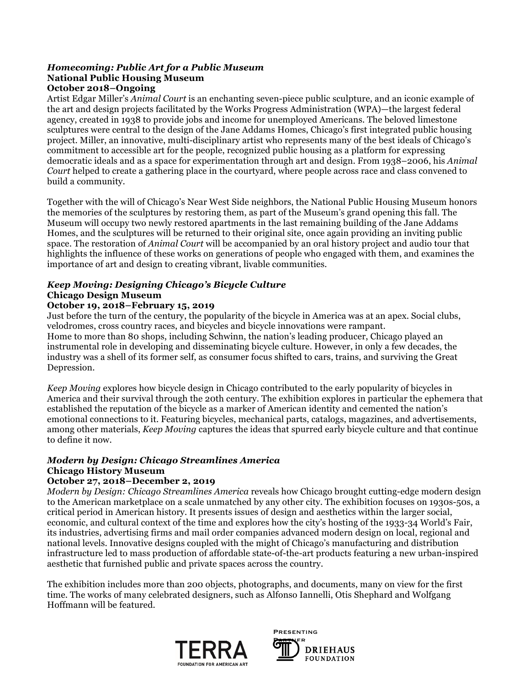### *Homecoming: Public Art for a Public Museum* **National Public Housing Museum October 2018–Ongoing**

Artist Edgar Miller's *Animal Court* is an enchanting seven-piece public sculpture, and an iconic example of the art and design projects facilitated by the Works Progress Administration (WPA)—the largest federal agency, created in 1938 to provide jobs and income for unemployed Americans. The beloved limestone sculptures were central to the design of the Jane Addams Homes, Chicago's first integrated public housing project. Miller, an innovative, multi-disciplinary artist who represents many of the best ideals of Chicago's commitment to accessible art for the people, recognized public housing as a platform for expressing democratic ideals and as a space for experimentation through art and design. From 1938–2006, his *Animal Court* helped to create a gathering place in the courtyard, where people across race and class convened to build a community.

Together with the will of Chicago's Near West Side neighbors, the National Public Housing Museum honors the memories of the sculptures by restoring them, as part of the Museum's grand opening this fall. The Museum will occupy two newly restored apartments in the last remaining building of the Jane Addams Homes, and the sculptures will be returned to their original site, once again providing an inviting public space. The restoration of *Animal Court* will be accompanied by an oral history project and audio tour that highlights the influence of these works on generations of people who engaged with them, and examines the importance of art and design to creating vibrant, livable communities.

### *Keep Moving: Designing Chicago's Bicycle Culture* **Chicago Design Museum**

### **October 19, 2018–February 15, 2019**

Just before the turn of the century, the popularity of the bicycle in America was at an apex. Social clubs, velodromes, cross country races, and bicycles and bicycle innovations were rampant. Home to more than 80 shops, including Schwinn, the nation's leading producer, Chicago played an instrumental role in developing and disseminating bicycle culture. However, in only a few decades, the industry was a shell of its former self, as consumer focus shifted to cars, trains, and surviving the Great Depression.

*Keep Moving* explores how bicycle design in Chicago contributed to the early popularity of bicycles in America and their survival through the 20th century. The exhibition explores in particular the ephemera that established the reputation of the bicycle as a marker of American identity and cemented the nation's emotional connections to it. Featuring bicycles, mechanical parts, catalogs, magazines, and advertisements, among other materials, *Keep Moving* captures the ideas that spurred early bicycle culture and that continue to define it now.

# *Modern by Design: Chicago Streamlines America* **Chicago History Museum**

### **October 27, 2018–December 2, 2019**

*Modern by Design: Chicago Streamlines America* reveals how Chicago brought cutting-edge modern design to the American marketplace on a scale unmatched by any other city. The exhibition focuses on 1930s-50s, a critical period in American history. It presents issues of design and aesthetics within the larger social, economic, and cultural context of the time and explores how the city's hosting of the 1933-34 World's Fair, its industries, advertising firms and mail order companies advanced modern design on local, regional and national levels. Innovative designs coupled with the might of Chicago's manufacturing and distribution infrastructure led to mass production of affordable state-of-the-art products featuring a new urban-inspired aesthetic that furnished public and private spaces across the country.

The exhibition includes more than 200 objects, photographs, and documents, many on view for the first time. The works of many celebrated designers, such as Alfonso Iannelli, Otis Shephard and Wolfgang Hoffmann will be featured.



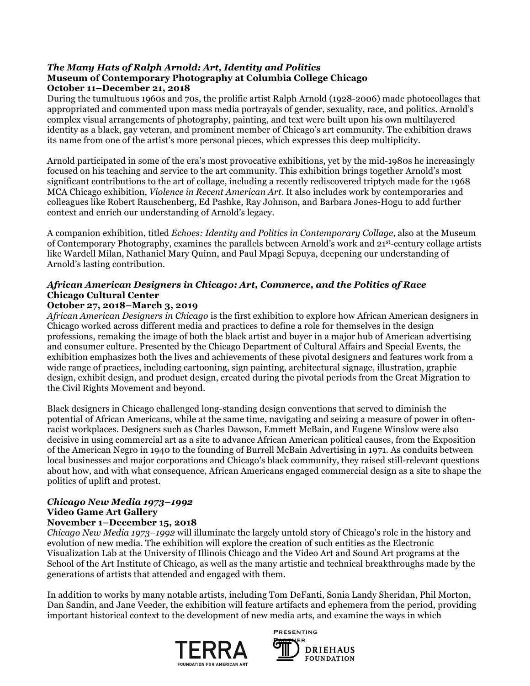### *The Many Hats of Ralph Arnold: Art, Identity and Politics* **Museum of Contemporary Photography at Columbia College Chicago October 11–December 21, 2018**

During the tumultuous 1960s and 70s, the prolific artist Ralph Arnold (1928-2006) made photocollages that appropriated and commented upon mass media portrayals of gender, sexuality, race, and politics. Arnold's complex visual arrangements of photography, painting, and text were built upon his own multilayered identity as a black, gay veteran, and prominent member of Chicago's art community. The exhibition draws its name from one of the artist's more personal pieces, which expresses this deep multiplicity.

Arnold participated in some of the era's most provocative exhibitions, yet by the mid-1980s he increasingly focused on his teaching and service to the art community. This exhibition brings together Arnold's most significant contributions to the art of collage, including a recently rediscovered triptych made for the 1968 MCA Chicago exhibition, *Violence in Recent American Art*. It also includes work by contemporaries and colleagues like Robert Rauschenberg, Ed Pashke, Ray Johnson, and Barbara Jones-Hogu to add further context and enrich our understanding of Arnold's legacy.

A companion exhibition, titled *Echoes: Identity and Politics in Contemporary Collage*, also at the Museum of Contemporary Photography, examines the parallels between Arnold's work and 21st-century collage artists like Wardell Milan, Nathaniel Mary Quinn, and Paul Mpagi Sepuya, deepening our understanding of Arnold's lasting contribution.

## *African American Designers in Chicago: Art, Commerce, and the Politics of Race* **Chicago Cultural Center**

### **October 27, 2018–March 3, 2019**

*African American Designers in Chicago* is the first exhibition to explore how African American designers in Chicago worked across different media and practices to define a role for themselves in the design professions, remaking the image of both the black artist and buyer in a major hub of American advertising and consumer culture. Presented by the Chicago Department of Cultural Affairs and Special Events, the exhibition emphasizes both the lives and achievements of these pivotal designers and features work from a wide range of practices, including cartooning, sign painting, architectural signage, illustration, graphic design, exhibit design, and product design, created during the pivotal periods from the Great Migration to the Civil Rights Movement and beyond.

Black designers in Chicago challenged long-standing design conventions that served to diminish the potential of African Americans, while at the same time, navigating and seizing a measure of power in oftenracist workplaces. Designers such as Charles Dawson, Emmett McBain, and Eugene Winslow were also decisive in using commercial art as a site to advance African American political causes, from the Exposition of the American Negro in 1940 to the founding of Burrell McBain Advertising in 1971. As conduits between local businesses and major corporations and Chicago's black community, they raised still-relevant questions about how, and with what consequence, African Americans engaged commercial design as a site to shape the politics of uplift and protest.

### *Chicago New Media 1973–1992* **Video Game Art Gallery November 1–December 15, 2018**

*Chicago New Media 1973–1992* will illuminate the largely untold story of Chicago's role in the history and evolution of new media. The exhibition will explore the creation of such entities as the Electronic Visualization Lab at the University of Illinois Chicago and the Video Art and Sound Art programs at the School of the Art Institute of Chicago, as well as the many artistic and technical breakthroughs made by the generations of artists that attended and engaged with them.

In addition to works by many notable artists, including Tom DeFanti, Sonia Landy Sheridan, Phil Morton, Dan Sandin, and Jane Veeder, the exhibition will feature artifacts and ephemera from the period, providing important historical context to the development of new media arts, and examine the ways in which